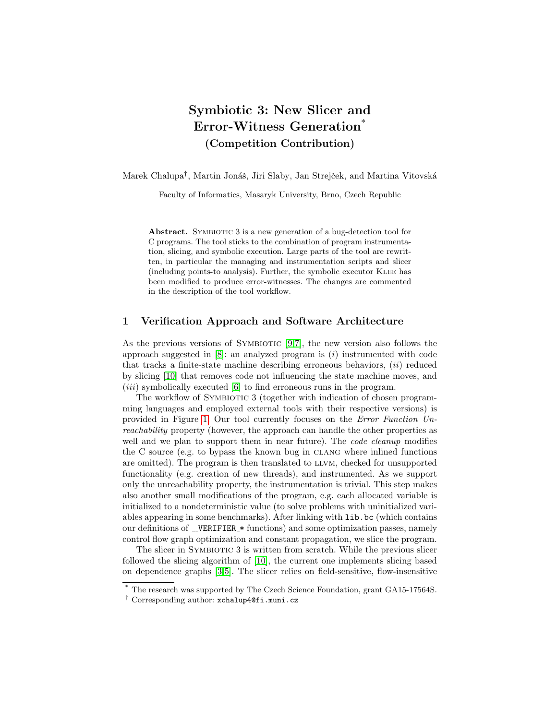# Symbiotic 3: New Slicer and Error-Witness Generation<sup>\*</sup> (Competition Contribution)

Marek Chalupa<sup>†</sup>, Martin Jonáš, Jiri Slaby, Jan Strejček, and Martina Vitovská

Faculty of Informatics, Masaryk University, Brno, Czech Republic

Abstract. SYMBIOTIC 3 is a new generation of a bug-detection tool for C programs. The tool sticks to the combination of program instrumentation, slicing, and symbolic execution. Large parts of the tool are rewritten, in particular the managing and instrumentation scripts and slicer (including points-to analysis). Further, the symbolic executor Klee has been modified to produce error-witnesses. The changes are commented in the description of the tool workflow.

# 1 Verification Approach and Software Architecture

As the previous versions of SYMBIOTIC  $[9,7]$  $[9,7]$ , the new version also follows the approach suggested in  $[8]$ : an analyzed program is  $(i)$  instrumented with code that tracks a finite-state machine describing erroneous behaviors,  $(ii)$  reduced by slicing [\[10\]](#page-2-3) that removes code not influencing the state machine moves, and  $(iii)$  symbolically executed [\[6\]](#page-2-4) to find erroneous runs in the program.

The workflow of SYMBIOTIC 3 (together with indication of chosen programming languages and employed external tools with their respective versions) is provided in Figure [1.](#page-1-0) Our tool currently focuses on the Error Function Unreachability property (however, the approach can handle the other properties as well and we plan to support them in near future). The *code cleanup* modifies the C source (e.g. to bypass the known bug in clang where inlined functions are omitted). The program is then translated to llvm, checked for unsupported functionality (e.g. creation of new threads), and instrumented. As we support only the unreachability property, the instrumentation is trivial. This step makes also another small modifications of the program, e.g. each allocated variable is initialized to a nondeterministic value (to solve problems with uninitialized variables appearing in some benchmarks). After linking with lib.bc (which contains our definitions of  $\text{LVERIFIER}$  functions) and some optimization passes, namely control flow graph optimization and constant propagation, we slice the program.

The slicer in SYMBIOTIC 3 is written from scratch. While the previous slicer followed the slicing algorithm of [\[10\]](#page-2-3), the current one implements slicing based on dependence graphs [\[3,](#page-2-5)[5\]](#page-2-6). The slicer relies on field-sensitive, flow-insensitive

<sup>\*</sup> The research was supported by The Czech Science Foundation, grant GA15-17564S.

<sup>†</sup> Corresponding author: xchalup4@fi.muni.cz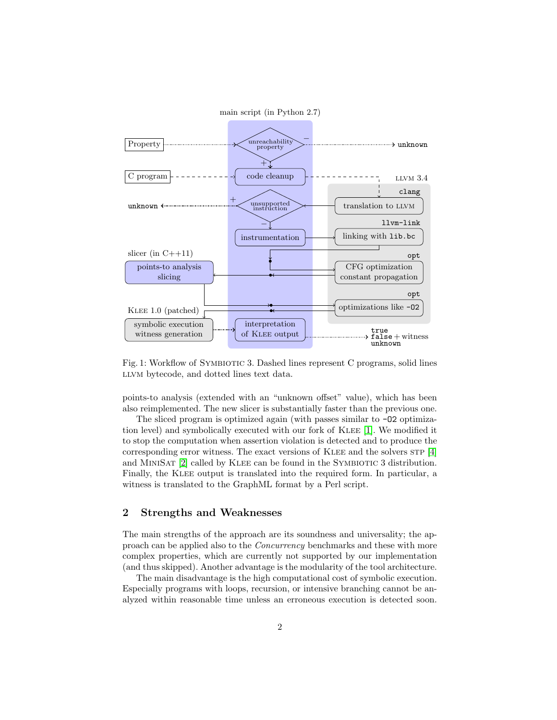<span id="page-1-0"></span>

Fig. 1: Workflow of SYMBIOTIC 3. Dashed lines represent C programs, solid lines LLVM bytecode, and dotted lines text data.

points-to analysis (extended with an "unknown offset" value), which has been also reimplemented. The new slicer is substantially faster than the previous one.

The sliced program is optimized again (with passes similar to  $-02$  optimization level) and symbolically executed with our fork of Klee [\[1\]](#page-2-7). We modified it to stop the computation when assertion violation is detected and to produce the corresponding error witness. The exact versions of KLEE and the solvers  $STP$  [\[4\]](#page-2-8) and MINISAT [\[2\]](#page-2-9) called by KLEE can be found in the SYMBIOTIC 3 distribution. Finally, the KLEE output is translated into the required form. In particular, a witness is translated to the GraphML format by a Perl script.

# 2 Strengths and Weaknesses

The main strengths of the approach are its soundness and universality; the approach can be applied also to the Concurrency benchmarks and these with more complex properties, which are currently not supported by our implementation (and thus skipped). Another advantage is the modularity of the tool architecture.

The main disadvantage is the high computational cost of symbolic execution. Especially programs with loops, recursion, or intensive branching cannot be analyzed within reasonable time unless an erroneous execution is detected soon.